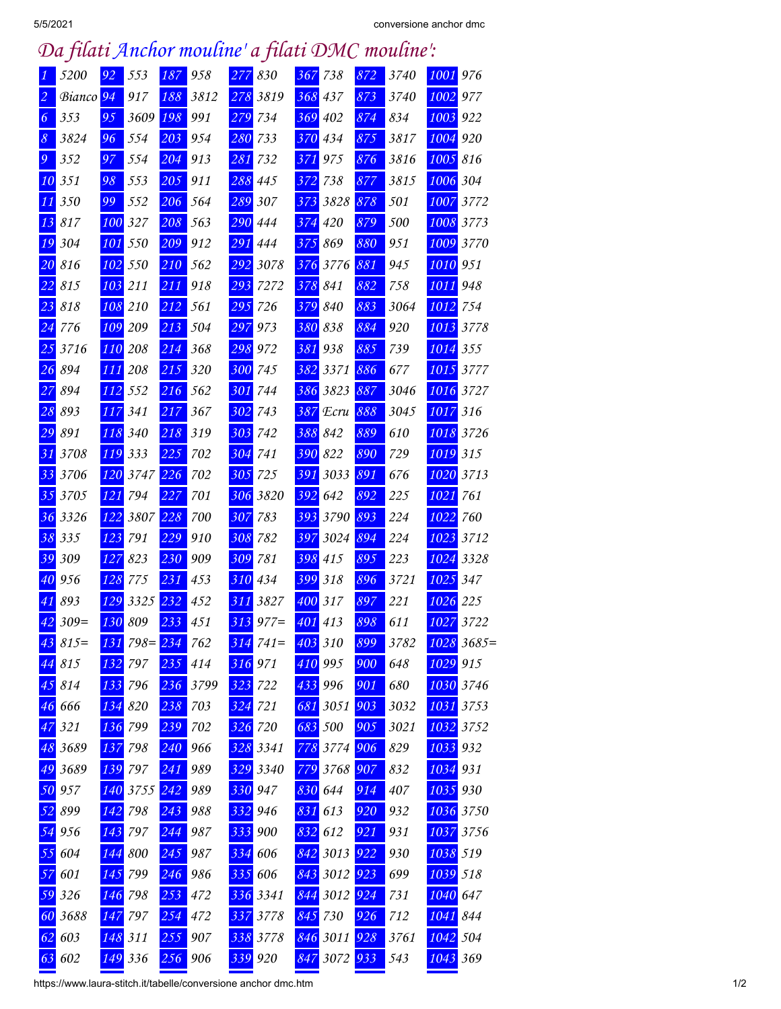## *Da filati Anchor mouline' a filati DMC mouline':*

| 1               | 5200                 | 92  | 553         | 187             | 958  | 277 | 830      | 367              | 738      | 872              | 3740 | 1001     | 976          |
|-----------------|----------------------|-----|-------------|-----------------|------|-----|----------|------------------|----------|------------------|------|----------|--------------|
| $\overline{c}$  | Bianco <sup>94</sup> |     | 917         | 188             | 3812 | 278 | 3819     | 368              | 437      | 873              | 3740 | 1002     | 977          |
| 6               | 353                  | 95  | 3609        | 198             | 991  | 279 | 734      | 369              | 402      | 874              | 834  | 1003     | 922          |
| $\mathcal S$    | 3824                 | 96  | 554         | 203             | 954  | 280 | 733      | 370              | 434      | 875              | 3817 | 1004     | 920          |
| $\mathfrak{g}$  | 352                  | 97  | 554         | 204             | 913  | 281 | 732      | 371              | 975      | 876              | 3816 | 1005     | 816          |
| 10              | 351                  | 98  | 553         | 205             | 911  | 288 | 445      | 372              | 738      | 877              | 3815 | 1006     | 304          |
| 11              | 350                  | 99  | 552         | 206             | 564  | 289 | 307      | 373              | 3828     | 878              | 501  | 1007     | 3772         |
| 13              | 817                  | 100 | 327         | 208             | 563  | 290 | 444      | 374              | 420      | 879              | 500  | 1008     | 3773         |
| 19              | 304                  | 101 | 550         | 209             | 912  | 291 | 444      | 375              | 869      | 880              | 951  | 1009     | 3770         |
| 20              | 816                  | 102 | 550         | 210             | 562  | 292 | 3078     | 376              | 3776     | 881              | 945  | 1010     | 951          |
| 22              | 815                  | 103 | 211         | 211             | 918  | 293 | 7272     | 378              | 841      | 882              | 758  | 1011     | 948          |
| 23              | 818                  | 108 | 210         | 212             | 561  | 295 | 726      | 379              | 840      | 883              | 3064 | 1012     | 754          |
| 24              | 776                  | 109 | 209         | 213             | 504  | 297 | 973      | 380              | 838      | 884              | 920  | 1013     | 3778         |
| 25              | 3716                 | 110 | 208         | 214             | 368  | 298 | 972      | 381              | 938      | 885              | 739  | 1014     | 355          |
| 26              | 894                  | 111 | 208         | 215             | 320  | 300 | 745      | 382              | 3371     | 886              | 677  | 1015     | 3777         |
| 27              | 894                  | 112 | 552         | 216             | 562  | 301 | 744      | 386              | 3823     | 887              | 3046 | 1016     | 3727         |
| 28              | 893                  | 117 | 341         | 217             | 367  | 302 | 743      | 387              | Ecru     | 888              | 3045 | 1017     | 316          |
| $\overline{29}$ | 891                  | 118 | 340         | 218             | 319  | 303 | 742      | 388              | 842      | 889              | 610  | 1018     | 3726         |
| 31              | 3708                 | 119 | 333         | 225             | 702  | 304 | 741      | 390              | 822      | 890              | 729  | 1019     | 315          |
| 33              | 3706                 | 120 | 3747        | 226             | 702  | 305 | 725      | 391              | 3033     | 891              | 676  | 1020     | 3713         |
| 35              | 3705                 | 121 | 794         | 227             | 701  | 306 | 3820     | 392              | 642      | 892              | 225  | 1021     | 761          |
| 36              | 3326                 | 122 | 3807        | 228             | 700  | 307 | 783      | 393              | 3790     | 893              | 224  | 1022     | 760          |
| 38              | 335                  | 123 | 791         | 229             | 910  | 308 | 782      | 397              | 3024     | 894              | 224  | 1023     | 3712         |
| 39              | 309                  | 127 | 823         | 230             | 909  | 309 | 781      | 398              | 415      | 895              | 223  | 1024     | 3328         |
| 40              | 956                  | 128 | 775         | 231             | 453  | 310 | 434      | 399              | 318      | 896              | 3721 | 1025     | 347          |
| 41              | 893                  | 129 | 3325        | 232             | 452  | 311 | 3827     | 400              | 317      | 897              | 221  | 1026     | 225          |
| 42              | $309=$               | 130 | 809         | 233             | 451  | 313 | $977=$   | 401              | 413      | 898              | 611  | 1027     | 3722         |
| 43              | $815=$               | 131 | $798 = 234$ |                 | 762  | 314 | $741=$   |                  | 403 310  | 899              | 3782 |          | $1028$ 3685= |
| 44              | 815                  | 132 | 797         | 235             | 414  |     | 316 971  | 410 995          |          | 900              | 648  | 1029 915 |              |
| 45              | 814                  | 133 | 796         | $\frac{236}{ }$ | 3799 | 323 | 722      | 433              | 996      | 901              | 680  |          | 1030 3746    |
| 46              | 666                  | 134 | 820         | 238             | 703  | 324 | 721      | 681              | 3051     | 903              | 3032 | 1031     | 3753         |
| 47              | 321                  | 136 | 799         | 239             | 702  | 326 | 720      | 683              | 500      | 905              | 3021 |          | 1032 3752    |
| 48              | 3689                 | 137 | 798         | 240             | 966  | 328 | 3341     | 778              | 3774     | 906              | 829  | 1033 932 |              |
| 49              | 3689                 | 139 | 797         | 241             | 989  | 329 | 3340     |                  | 779 3768 | 907              | 832  | 1034 931 |              |
| 50              | 957                  | 140 | 3755        | 242             | 989  | 330 | 947      | 830              | 644      | 914              | 407  | 1035 930 |              |
| 52              | 899                  | 142 | 798         | 243             | 988  | 332 | 946      | 831              | 613      | 920              | 932  |          | 1036 3750    |
| 54              | 956                  | 143 | 797         | 244             | 987  | 333 | 900      | 832              | 612      | 921              | 931  |          | 1037 3756    |
| 55              | 604                  | 144 | 800         | 245             | 987  | 334 | 606      | 842              | 3013     | 922              | 930  | 1038 519 |              |
| 57              | 601                  | 145 | 799         | 246             | 986  | 335 | 606      | 843              | 3012     | $\overline{923}$ | 699  | 1039 518 |              |
| 59              | 326                  | 146 | 798         | 253             | 472  |     | 336 3341 | $84\overline{4}$ | 3012     | $\overline{924}$ | 731  | 1040     | 647          |
| 60              | 3688                 | 147 | 797         | 254             | 472  | 337 | 3778     | 845              | 730      | 926              | 712  | 1041     | 844          |
| 62              | 603                  | 148 | 311         | $\frac{255}{5}$ | 907  |     | 338 3778 |                  | 846 3011 | 928              | 3761 | 1042     | 504          |
| 63              | 602                  |     | 149 336     | 256             | 906  |     | 339 920  | 847              | 3072     | 933              | 543  | 1043 369 |              |

https://www.laura-stitch.it/tabelle/conversione anchor dmc.htm 1/2